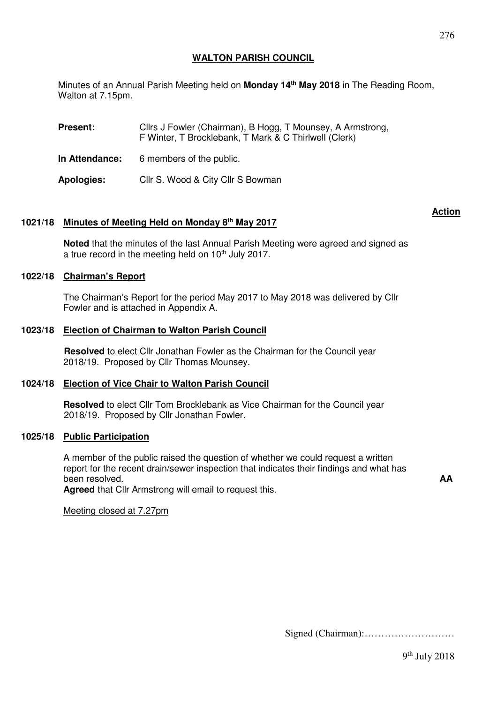# **WALTON PARISH COUNCIL**

Minutes of an Annual Parish Meeting held on **Monday 14th May 2018** in The Reading Room, Walton at 7.15pm.

**Present:** Cllrs J Fowler (Chairman), B Hogg, T Mounsey, A Armstrong, F Winter, T Brocklebank, T Mark & C Thirlwell (Clerk)

**In Attendance:** 6 members of the public.

**Apologies:** Cllr S. Wood & City Cllr S Bowman

## **1021/18 Minutes of Meeting Held on Monday 8th May 2017**

**Noted** that the minutes of the last Annual Parish Meeting were agreed and signed as a true record in the meeting held on  $10<sup>th</sup>$  July 2017.

 **Action** 

## **1022/18 Chairman's Report**

The Chairman's Report for the period May 2017 to May 2018 was delivered by Cllr Fowler and is attached in Appendix A.

### **1023/18 Election of Chairman to Walton Parish Council**

 **Resolved** to elect Cllr Jonathan Fowler as the Chairman for the Council year 2018/19. Proposed by Cllr Thomas Mounsey.

### **1024/18 Election of Vice Chair to Walton Parish Council**

 **Resolved** to elect Cllr Tom Brocklebank as Vice Chairman for the Council year 2018/19. Proposed by Cllr Jonathan Fowler.

### **1025/18 Public Participation**

A member of the public raised the question of whether we could request a written report for the recent drain/sewer inspection that indicates their findings and what has been resolved.

**Agreed** that Cllr Armstrong will email to request this.

Meeting closed at 7.27pm

Signed (Chairman):………………………

**AA**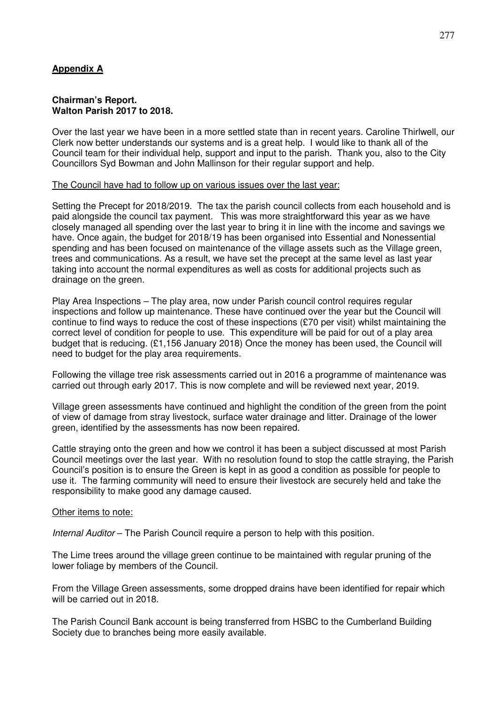# **Appendix A**

### **Chairman's Report. Walton Parish 2017 to 2018.**

Over the last year we have been in a more settled state than in recent years. Caroline Thirlwell, our Clerk now better understands our systems and is a great help. I would like to thank all of the Council team for their individual help, support and input to the parish. Thank you, also to the City Councillors Syd Bowman and John Mallinson for their regular support and help.

## The Council have had to follow up on various issues over the last year:

Setting the Precept for 2018/2019. The tax the parish council collects from each household and is paid alongside the council tax payment. This was more straightforward this year as we have closely managed all spending over the last year to bring it in line with the income and savings we have. Once again, the budget for 2018/19 has been organised into Essential and Nonessential spending and has been focused on maintenance of the village assets such as the Village green, trees and communications. As a result, we have set the precept at the same level as last year taking into account the normal expenditures as well as costs for additional projects such as drainage on the green.

Play Area Inspections – The play area, now under Parish council control requires regular inspections and follow up maintenance. These have continued over the year but the Council will continue to find ways to reduce the cost of these inspections (£70 per visit) whilst maintaining the correct level of condition for people to use. This expenditure will be paid for out of a play area budget that is reducing. (£1,156 January 2018) Once the money has been used, the Council will need to budget for the play area requirements.

Following the village tree risk assessments carried out in 2016 a programme of maintenance was carried out through early 2017. This is now complete and will be reviewed next year, 2019.

Village green assessments have continued and highlight the condition of the green from the point of view of damage from stray livestock, surface water drainage and litter. Drainage of the lower green, identified by the assessments has now been repaired.

Cattle straying onto the green and how we control it has been a subject discussed at most Parish Council meetings over the last year. With no resolution found to stop the cattle straying, the Parish Council's position is to ensure the Green is kept in as good a condition as possible for people to use it. The farming community will need to ensure their livestock are securely held and take the responsibility to make good any damage caused.

# Other items to note:

Internal Auditor – The Parish Council require a person to help with this position.

The Lime trees around the village green continue to be maintained with regular pruning of the lower foliage by members of the Council.

From the Village Green assessments, some dropped drains have been identified for repair which will be carried out in 2018.

The Parish Council Bank account is being transferred from HSBC to the Cumberland Building Society due to branches being more easily available.